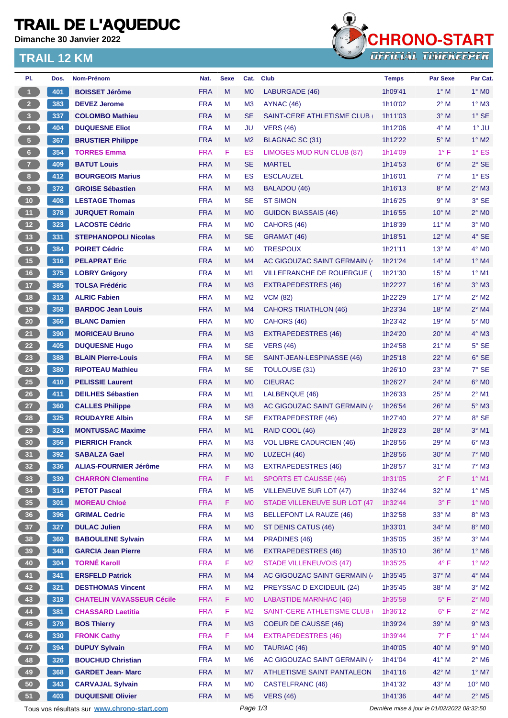## **TRAIL DE L'AQUEDUC**

**Dimanche 30 Janvier 2022**

#### **TRAIL 12 KM**



| PI.                                                         | Dos. | <b>Nom-Prénom</b>                | Nat.                     | <b>Sexe</b> | Cat.           | <b>Club</b>                     | Temps                                       | <b>Par Sexe</b> | Par Cat.                 |
|-------------------------------------------------------------|------|----------------------------------|--------------------------|-------------|----------------|---------------------------------|---------------------------------------------|-----------------|--------------------------|
| $\blacktriangleleft$                                        | 401  | <b>BOISSET Jérôme</b>            | <b>FRA</b>               | M           | M <sub>0</sub> | LABURGADE (46)                  | 1h09'41                                     | $1^\circ$ M     | $1^\circ$ MO             |
| $\overline{2}$                                              | 383  | <b>DEVEZ Jerome</b>              | <b>FRA</b>               | М           | M <sub>3</sub> | AYNAC (46)                      | 1h10'02                                     | $2^{\circ}$ M   | $1^\circ$ M3             |
| 3 <sup>°</sup>                                              | 337  | <b>COLOMBO Mathieu</b>           | <b>FRA</b>               | M           | <b>SE</b>      | SAINT-CERE ATHLETISME CLUB      | 1h11'03                                     | $3^\circ$ M     | $1^\circ$ SE             |
| $\blacktriangleleft$                                        | 404  | <b>DUQUESNE Eliot</b>            | <b>FRA</b>               | M           | JU             | <b>VERS (46)</b>                | 1h12'06                                     | $4^\circ$ M     | $1^\circ$ JU             |
| 5 <sub>5</sub>                                              | 367  | <b>BRUSTIER Philippe</b>         | <b>FRA</b>               | M           | M <sub>2</sub> | <b>BLAGNAC SC (31)</b>          | 1h12'22                                     | $5^\circ$ M     | $1^\circ$ M2             |
| $6\phantom{.}$                                              | 354  | <b>TORRES Emma</b>               | <b>FRA</b>               | F           | ES             | LIMOGES MUD RUN CLUB (87)       | 1h14'09                                     | $1^{\circ}$ F   | $1^\circ$ ES             |
| $\overline{7}$                                              | 409  | <b>BATUT Louis</b>               | <b>FRA</b>               | M           | <b>SE</b>      | <b>MARTEL</b>                   | 1h14'53                                     | $6^\circ$ M     | $2°$ SE                  |
| 8                                                           | 412  | <b>BOURGEOIS Marius</b>          | <b>FRA</b>               | M           | ES             | <b>ESCLAUZEL</b>                | 1h16'01                                     | $7^\circ$ M     | $1^\circ$ ES             |
| 9                                                           | 372  | <b>GROISE Sébastien</b>          | <b>FRA</b>               | M           | M <sub>3</sub> | BALADOU (46)                    | 1h16'13                                     | $8^\circ$ M     | $2^\circ$ M3             |
| 10                                                          | 408  | <b>LESTAGE Thomas</b>            | <b>FRA</b>               | М           | <b>SE</b>      | <b>ST SIMON</b>                 | 1h16'25                                     | 9° M            | $3^\circ$ SE             |
| $-11$                                                       | 378  | <b>JURQUET Romain</b>            | <b>FRA</b>               | M           | M <sub>0</sub> | <b>GUIDON BIASSAIS (46)</b>     | 1h16'55                                     | $10^{\circ}$ M  | $2^{\circ}$ MO           |
| $\overline{12}$                                             | 323  | <b>LACOSTE Cédric</b>            | <b>FRA</b>               | M           | M <sub>0</sub> | CAHORS (46)                     | 1h18'39                                     | $11^{\circ}$ M  | $3°$ MO                  |
| $\begin{array}{c} \begin{array}{c} \end{array} \end{array}$ | 331  | <b>STEPHANOPOLI Nicolas</b>      | <b>FRA</b>               | M           | <b>SE</b>      | GRAMAT (46)                     | 1h18'51                                     | 12° M           | $4°$ SE                  |
| $\begin{bmatrix} 14 \end{bmatrix}$                          | 384  | <b>POIRET Cédric</b>             | <b>FRA</b>               | М           | M <sub>0</sub> | <b>TRESPOUX</b>                 | 1h21'11                                     | 13° M           | 4° MO                    |
| $\begin{bmatrix} 15 \end{bmatrix}$                          | 316  | <b>PELAPRAT Eric</b>             | <b>FRA</b>               | M           | M4             | AC GIGOUZAC SAINT GERMAIN (     | 1h21'24                                     | $14^{\circ}$ M  | $1^\circ$ M4             |
| 16                                                          | 375  | <b>LOBRY Grégory</b>             | <b>FRA</b>               | M           | M1             | VILLEFRANCHE DE ROUERGUE (      | 1h21'30                                     | $15^{\circ}$ M  | $1°$ M1                  |
| $\overline{17}$                                             | 385  | <b>TOLSA Frédéric</b>            | <b>FRA</b>               | M           | M <sub>3</sub> | EXTRAPEDESTRES (46)             | 1h22'27                                     | $16^{\circ}$ M  | $3°$ M3                  |
| 18                                                          | 313  | <b>ALRIC Fabien</b>              | <b>FRA</b>               | M           | M <sub>2</sub> | <b>VCM (82)</b>                 | 1h22'29                                     | $17^{\circ}$ M  | $2^{\circ}$ M2           |
| 19                                                          | 358  | <b>BARDOC Jean Louis</b>         | <b>FRA</b>               | M           | M <sub>4</sub> | <b>CAHORS TRIATHLON (46)</b>    | 1h23'34                                     | 18° M           | $2^{\circ}$ M4           |
| 20                                                          | 366  | <b>BLANC Damien</b>              | <b>FRA</b>               | M           | M <sub>0</sub> | CAHORS (46)                     | 1h23'42                                     | $19°$ M         | $5^\circ$ MO             |
| 21                                                          | 390  | <b>MORICEAU Bruno</b>            | <b>FRA</b>               | M           | M <sub>3</sub> | EXTRAPEDESTRES (46)             | 1h24'20                                     | $20^{\circ}$ M  | $4^\circ$ M3             |
| 22                                                          | 405  | <b>DUQUESNE Hugo</b>             | <b>FRA</b>               | M           | <b>SE</b>      | <b>VERS (46)</b>                | 1h24'58                                     | $21°$ M         | $5^\circ$ SE             |
| 23                                                          | 388  | <b>BLAIN Pierre-Louis</b>        | <b>FRA</b>               | M           | <b>SE</b>      |                                 |                                             | $22^{\circ}$ M  | $6°$ SE                  |
|                                                             |      |                                  | <b>FRA</b>               | М           | <b>SE</b>      | SAINT-JEAN-LESPINASSE (46)      | 1h25'18                                     | 23° M           | $7°$ SE                  |
| 24                                                          | 380  | <b>RIPOTEAU Mathieu</b>          |                          |             |                | TOULOUSE (31)                   | 1h26'10                                     |                 |                          |
| 25                                                          | 410  | <b>PELISSIE Laurent</b>          | <b>FRA</b><br><b>FRA</b> | M           | M <sub>0</sub> | <b>CIEURAC</b>                  | 1h26'27                                     | 24° M           | $6^\circ$ MO             |
| 26                                                          | 411  | <b>DEILHES Sébastien</b>         |                          | M           | M1             | LALBENQUE (46)                  | 1h26'33                                     | $25^{\circ}$ M  | $2^{\circ}$ M1           |
| 27                                                          | 360  | <b>CALLES Philippe</b>           | <b>FRA</b>               | M           | M <sub>3</sub> | AC GIGOUZAC SAINT GERMAIN (     | 1h26'54                                     | $26^{\circ}$ M  | $5^\circ$ M3             |
| 28                                                          | 325  | <b>ROUDAYRE Albin</b>            | <b>FRA</b>               | M           | <b>SE</b>      | <b>EXTRAPEDESTRE (46)</b>       | 1h27'40                                     | $27^\circ$ M    | 8° SE                    |
| 29                                                          | 324  | <b>MONTUSSAC Maxime</b>          | <b>FRA</b>               | M           | M1             | RAID COOL (46)                  | 1h28'23                                     | $28^\circ$ M    | $3°$ M1                  |
| 30                                                          | 356  | <b>PIERRICH Franck</b>           | <b>FRA</b>               | M           | M <sub>3</sub> | <b>VOL LIBRE CADURCIEN (46)</b> | 1h28'56                                     | 29° M           | $6°$ M3                  |
| 31                                                          | 392  | <b>SABALZA Gael</b>              | <b>FRA</b>               | M           | M <sub>0</sub> | LUZECH (46)                     | 1h28'56                                     | $30^\circ$ M    | $7^\circ$ MO             |
| 32 <sub>2</sub>                                             | 336  | <b>ALIAS-FOURNIER Jérôme</b>     | <b>FRA</b>               | M           | M <sub>3</sub> | EXTRAPEDESTRES (46)             | 1h28'57                                     | $31^\circ$ M    | $7^\circ$ M3             |
| 33                                                          | 339  | <b>CHARRON Clementine</b>        | <b>FRA</b>               | F.          | M1             | <b>SPORTS ET CAUSSE (46)</b>    | 1h31'05                                     | $2^{\circ}$ F   | $1^\circ$ M1             |
| 34                                                          | 314  | <b>PETOT Pascal</b>              | <b>FRA</b>               | M           | M <sub>5</sub> | <b>VILLENEUVE SUR LOT (47)</b>  | 1h32'44                                     | 32° M           | $1^\circ$ M <sub>5</sub> |
| 35                                                          | 301  | <b>MOREAU Chloé</b>              | <b>FRA</b>               | F           | M <sub>0</sub> | STADE VILLENEUVE SUR LOT (47    | 1h32'44                                     | $3^{\circ}$ F   | $1^\circ$ MO             |
| 36                                                          | 396  | <b>GRIMAL Cedric</b>             | <b>FRA</b>               | M           | M <sub>3</sub> | <b>BELLEFONT LA RAUZE (46)</b>  | 1h32'58                                     | 33° M           | $8^\circ$ M3             |
| 37                                                          | 327  | <b>DULAC Julien</b>              | <b>FRA</b>               | M           | M <sub>0</sub> | ST DENIS CATUS (46)             | 1h33'01                                     | 34° M           | $8^\circ$ MO             |
| 38                                                          | 369  | <b>BABOULENE Sylvain</b>         | <b>FRA</b>               | M           | M4             | PRADINES (46)                   | 1h35'05                                     | 35° M           | $3^\circ$ M4             |
| 39                                                          | 348  | <b>GARCIA Jean Pierre</b>        | <b>FRA</b>               | M           | M <sub>6</sub> | <b>EXTRAPEDESTRES (46)</b>      | 1h35'10                                     | 36° M           | $1^\circ$ M6             |
| 40                                                          | 304  | <b>TORNÉ Karoll</b>              | <b>FRA</b>               | F           | M <sub>2</sub> | <b>STADE VILLENEUVOIS (47)</b>  | 1h35'25                                     | $4^{\circ}$ F   | $1^\circ$ M2             |
| 41                                                          | 341  | <b>ERSFELD Patrick</b>           | <b>FRA</b>               | M           | M4             | AC GIGOUZAC SAINT GERMAIN (     | 1h35'45                                     | 37° M           | $4^\circ$ M4             |
| 42                                                          | 321  | <b>DESTHOMAS Vincent</b>         | <b>FRA</b>               | M           | M <sub>2</sub> | PREYSSAC D EXCIDEUIL (24)       | 1h35'45                                     | 38° M           | $3^\circ$ M2             |
| 43                                                          | 318  | <b>CHATELIN VAVASSEUR Cécile</b> | <b>FRA</b>               | F.          | M <sub>0</sub> | <b>LABASTIDE MARNHAC (46)</b>   | 1h35'58                                     | $5^{\circ}$ F   | $2^\circ$ MO             |
| 44                                                          | 381  | <b>CHASSARD Laetitia</b>         | <b>FRA</b>               | F           | M <sub>2</sub> | SAINT-CERE ATHLETISME CLUB      | 1h36'12                                     | $6^{\circ}$ F   | $2^{\circ}$ M2           |
| 45                                                          | 379  | <b>BOS Thierry</b>               | <b>FRA</b>               | M           | M <sub>3</sub> | COEUR DE CAUSSE (46)            | 1h39'24                                     | 39° M           | $9^\circ$ M3             |
| 46                                                          | 330  | <b>FRONK Cathy</b>               | <b>FRA</b>               | F           | M <sub>4</sub> | <b>EXTRAPEDESTRES (46)</b>      | 1h39'44                                     | $7^{\circ}$ F   | $1^\circ$ M4             |
| 47                                                          | 394  | <b>DUPUY Sylvain</b>             | <b>FRA</b>               | M           | M <sub>0</sub> | TAURIAC (46)                    | 1h40'05                                     | 40° M           | $9°$ MO                  |
| 48                                                          | 326  | <b>BOUCHUD Christian</b>         | <b>FRA</b>               | M           | M <sub>6</sub> | AC GIGOUZAC SAINT GERMAIN (     | 1h41'04                                     | 41° M           | $2^{\circ}$ M6           |
| 49                                                          | 368  | <b>GARDET Jean- Marc</b>         | <b>FRA</b>               | M           | M7             | ATHLETISME SAINT PANTALEON      | 1h41'16                                     | 42° M           | $1^\circ$ M7             |
| 50 <sub>2</sub>                                             | 343  | <b>CARVAJAL Sylvain</b>          | <b>FRA</b>               | M           | M <sub>0</sub> | CASTELFRANC (46)                | 1h41'32                                     | $43^\circ$ M    | $10^{\circ}$ MO          |
| 51                                                          | 403  | <b>DUQUESNE Olivier</b>          | <b>FRA</b>               | M           | M <sub>5</sub> | <b>VERS (46)</b>                | 1h41'36                                     | 44° M           | $2^{\circ}$ M5           |
| Tous vos résultats sur www.chrono-start.com                 |      |                                  |                          |             | Page 1/3       |                                 | Dernière mise à jour le 01/02/2022 08:32:50 |                 |                          |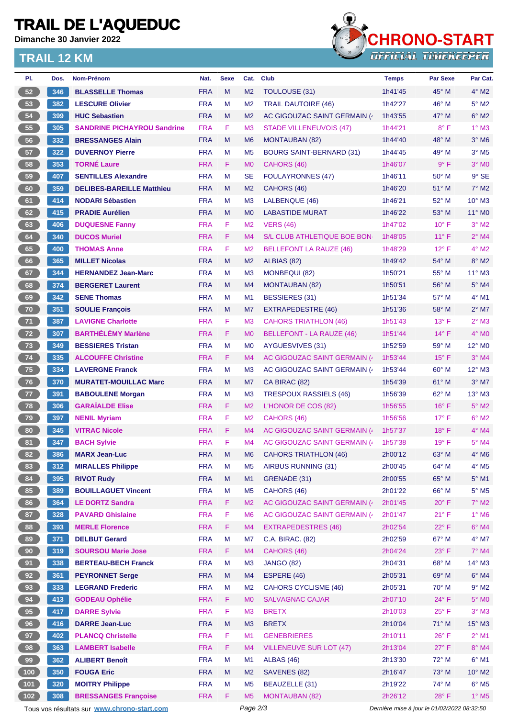# **TRAIL DE L'AQUEDUC**

**Dimanche 30 Janvier 2022**

### **TRAIL 12 KM**



| PI.                                                                                                    | Dos. | Nom-Prénom                         | Nat.       | <b>Sexe</b> | Cat.           | <b>Club</b>                      | <b>Temps</b> | <b>Par Sexe</b> | Par Cat.                 |
|--------------------------------------------------------------------------------------------------------|------|------------------------------------|------------|-------------|----------------|----------------------------------|--------------|-----------------|--------------------------|
| 52                                                                                                     | 346  | <b>BLASSELLE Thomas</b>            | <b>FRA</b> | M           | M <sub>2</sub> | TOULOUSE (31)                    | 1h41'45      | $45^{\circ}$ M  | $4^\circ$ M2             |
| 53                                                                                                     | 382  | <b>LESCURE Olivier</b>             | <b>FRA</b> | M           | M <sub>2</sub> | <b>TRAIL DAUTOIRE (46)</b>       | 1h42'27      | 46° M           | $5^\circ$ M2             |
| 54                                                                                                     | 399  | <b>HUC Sebastien</b>               | <b>FRA</b> | M           | M <sub>2</sub> | AC GIGOUZAC SAINT GERMAIN (      | 1h43'55      | $47^\circ$ M    | $6°$ M2                  |
| 55                                                                                                     | 305  | <b>SANDRINE PICHAYROU Sandrine</b> | <b>FRA</b> | F.          | M <sub>3</sub> | <b>STADE VILLENEUVOIS (47)</b>   | 1h44'21      | $8^{\circ}$ F   | $1^\circ$ M3             |
| 56                                                                                                     | 332  | <b>BRESSANGES Alain</b>            | <b>FRA</b> | M           | M <sub>6</sub> | <b>MONTAUBAN (82)</b>            | 1h44'40      | $48^\circ$ M    | $3°$ M <sub>6</sub>      |
| 57                                                                                                     | 322  | <b>DUVERNOY Pierre</b>             | <b>FRA</b> | M           | M <sub>5</sub> | <b>BOURG SAINT-BERNARD (31)</b>  | 1h44'45      | 49° M           | $3°$ M <sub>5</sub>      |
| 58                                                                                                     | 353  | <b>TORNÉ Laure</b>                 | <b>FRA</b> | F.          | M <sub>0</sub> | CAHORS (46)                      | 1h46'07      | $9^{\circ}$ F   | $3°$ MO                  |
| 59                                                                                                     | 407  | <b>SENTILLES Alexandre</b>         | <b>FRA</b> | М           | <b>SE</b>      | <b>FOULAYRONNES (47)</b>         | 1h46'11      | $50^{\circ}$ M  | $9°$ SE                  |
| 60                                                                                                     | 359  | <b>DELIBES-BAREILLE Matthieu</b>   | <b>FRA</b> | M           | M <sub>2</sub> | CAHORS (46)                      | 1h46'20      | $51^\circ$ M    | $7^\circ$ M2             |
| 61                                                                                                     | 414  | <b>NODARI Sébastien</b>            | <b>FRA</b> | M           | M <sub>3</sub> | LALBENQUE (46)                   | 1h46'21      | 52° M           | 10° M3                   |
| 62                                                                                                     | 415  | <b>PRADIE Aurélien</b>             | <b>FRA</b> | M           | M <sub>0</sub> | <b>LABASTIDE MURAT</b>           | 1h46'22      | $53^\circ$ M    | 11° M0                   |
| 63                                                                                                     | 406  | <b>DUQUESNE Fanny</b>              | <b>FRA</b> | F           | M <sub>2</sub> | <b>VERS (46)</b>                 | 1h47'02      | $10^{\circ}$ F  | $3°$ M2                  |
| 64                                                                                                     | 340  | <b>DUCOS Muriel</b>                | <b>FRA</b> | F           | M4             | S/L CLUB ATHLETIQUE BOE BON      | 1h48'05      | $11^{\circ}$ F  | $2°$ M4                  |
| 65                                                                                                     | 400  | <b>THOMAS Anne</b>                 | <b>FRA</b> | F           | M <sub>2</sub> | <b>BELLEFONT LA RAUZE (46)</b>   | 1h48'29      | $12^{\circ}$ F  | $4^{\circ}$ M2           |
| 66                                                                                                     | 365  | <b>MILLET Nicolas</b>              | <b>FRA</b> | M           | M <sub>2</sub> | ALBIAS (82)                      | 1h49'42      | 54° M           | $8^\circ$ M2             |
| 67                                                                                                     | 344  | <b>HERNANDEZ Jean-Marc</b>         | <b>FRA</b> | M           | M <sub>3</sub> | <b>MONBEQUI (82)</b>             | 1h50'21      | 55° M           | 11° M3                   |
| 68                                                                                                     | 374  | <b>BERGERET Laurent</b>            | <b>FRA</b> | M           | M4             | <b>MONTAUBAN (82)</b>            | 1h50'51      | $56^{\circ}$ M  | $5^\circ$ M4             |
| 69                                                                                                     | 342  | <b>SENE Thomas</b>                 | <b>FRA</b> | М           | M <sub>1</sub> | <b>BESSIERES (31)</b>            | 1h51'34      | 57° M           | $4^{\circ}$ M1           |
| 70                                                                                                     | 351  | <b>SOULIE François</b>             | <b>FRA</b> | M           | M7             | <b>EXTRAPEDESTRE (46)</b>        | 1h51'36      | $58^{\circ}$ M  | $2^{\circ}$ M7           |
| 71                                                                                                     | 387  | <b>LAVIGNE Charlotte</b>           | <b>FRA</b> | F           | M <sub>3</sub> | <b>CAHORS TRIATHLON (46)</b>     | 1h51'43      | $13^{\circ}$ F  | $2^{\circ}$ M3           |
| 72                                                                                                     | 307  | <b>BARTHÉLÉMY Marlène</b>          | <b>FRA</b> | F           | M <sub>0</sub> | <b>BELLEFONT - LA RAUZE (46)</b> | 1h51'44      | $14^{\circ}$ F  | 4° MO                    |
| 73                                                                                                     | 349  | <b>BESSIERES Tristan</b>           | <b>FRA</b> | M           | M <sub>0</sub> | AYGUESVIVES (31)                 | 1h52'59      | $59^{\circ}$ M  | 12° M0                   |
| 74                                                                                                     | 335  | <b>ALCOUFFE Christine</b>          | <b>FRA</b> | F.          | M4             | AC GIGOUZAC SAINT GERMAIN (      | 1h53'44      | $15^{\circ}$ F  | $3°$ M4                  |
| 75                                                                                                     | 334  | <b>LAVERGNE Franck</b>             | <b>FRA</b> | M           | M <sub>3</sub> | AC GIGOUZAC SAINT GERMAIN (4     | 1h53'44      | 60° M           | $12^{\circ}$ M3          |
| 76                                                                                                     | 370  | <b>MURATET-MOUILLAC Marc</b>       | <b>FRA</b> | M           | M7             | CA BIRAC (82)                    | 1h54'39      | 61° M           | $3^\circ$ M7             |
| 77                                                                                                     | 391  | <b>BABOULENE Morgan</b>            | <b>FRA</b> | М           | M <sub>3</sub> | <b>TRESPOUX RASSIELS (46)</b>    | 1h56'39      | $62^{\circ}$ M  | $13^{\circ}$ M3          |
| 78                                                                                                     | 306  | <b>GARAÏALDE Elise</b>             | <b>FRA</b> | F.          | M <sub>2</sub> | L'HONOR DE COS (82)              | 1h56'55      | $16^{\circ}$ F  | $5^\circ$ M2             |
| 79                                                                                                     | 397  | <b>NENIL Myriam</b>                | <b>FRA</b> | F           | M <sub>2</sub> | CAHORS (46)                      | 1h56'56      | $17^{\circ}$ F  | $6^\circ$ M2             |
| 80                                                                                                     | 345  | <b>VITRAC Nicole</b>               | <b>FRA</b> | F.          | M4             | AC GIGOUZAC SAINT GERMAIN (      | 1h57'37      | $18^{\circ}$ F  | $4^{\circ}$ M4           |
| 81                                                                                                     | 347  | <b>BACH Sylvie</b>                 | <b>FRA</b> | F           | M4             | AC GIGOUZAC SAINT GERMAIN (4     | 1h57'38      | $19^{\circ}$ F  | $5^\circ$ M4             |
| 82                                                                                                     | 386  |                                    | <b>FRA</b> | M           |                | <b>CAHORS TRIATHLON (46)</b>     |              | $63^\circ$ M    | $4^\circ$ M6             |
|                                                                                                        |      | <b>MARX Jean-Luc</b>               |            |             | M <sub>6</sub> |                                  | 2h00'12      | 64° M           |                          |
| 83                                                                                                     | 312  | <b>MIRALLES Philippe</b>           | <b>FRA</b> | M           | M <sub>5</sub> | <b>AIRBUS RUNNING (31)</b>       | 2h00'45      |                 | 4° M5                    |
| 84                                                                                                     | 395  | <b>RIVOT Rudy</b>                  | <b>FRA</b> | M           | M1             | GRENADE (31)                     | 2h00'55      | 65° M           | $5^\circ$ M1             |
| 85                                                                                                     | 389  | <b>BOUILLAGUET Vincent</b>         | <b>FRA</b> | M           | M <sub>5</sub> | CAHORS (46)                      | 2h01'22      | 66° M           | $5^\circ$ M5             |
| 86                                                                                                     | 364  | <b>LE DORTZ Sandra</b>             | <b>FRA</b> | F           | M <sub>2</sub> | AC GIGOUZAC SAINT GERMAIN (      | 2h01'45      | $20^{\circ}$ F  | 7° M2                    |
| 87                                                                                                     | 328  | <b>PAVARD Ghislaine</b>            | <b>FRA</b> | $\mathsf F$ | M <sub>6</sub> | AC GIGOUZAC SAINT GERMAIN (4)    | 2h01'47      | 21° F           | 1° M6                    |
| 88                                                                                                     | 393  | <b>MERLE Florence</b>              | <b>FRA</b> | F.          | M4             | <b>EXTRAPEDESTRES (46)</b>       | 2h02'54      | 22°F            | $6^\circ$ M4             |
| 89                                                                                                     | 371  | <b>DELBUT Gerard</b>               | <b>FRA</b> | M           | M7             | C.A. BIRAC. (82)                 | 2h02'59      | 67° M           | $4^\circ$ M7             |
| 90                                                                                                     | 319  | <b>SOURSOU Marie Jose</b>          | <b>FRA</b> | F           | M4             | CAHORS (46)                      | 2h04'24      | $23^\circ$ F    | $7^\circ$ M4             |
| 91                                                                                                     | 338  | <b>BERTEAU-BECH Franck</b>         | <b>FRA</b> | M           | M <sub>3</sub> | <b>JANGO (82)</b>                | 2h04'31      | 68° M           | 14° M3                   |
| 92                                                                                                     | 361  | <b>PEYRONNET Serge</b>             | <b>FRA</b> | M           | M4             | ESPERE (46)                      | 2h05'31      | 69° M           | $6^\circ$ M4             |
| 93                                                                                                     | 333  | <b>LEGRAND Frederic</b>            | <b>FRA</b> | M           | M <sub>2</sub> | <b>CAHORS CYCLISME (46)</b>      | 2h05'31      | $70^\circ$ M    | $9^\circ$ M2             |
| 94                                                                                                     | 413  | <b>GODEAU Ophélie</b>              | <b>FRA</b> | F           | M <sub>0</sub> | <b>SALVAGNAC CAJAR</b>           | 2h07'10      | $24^{\circ}$ F  | $5^\circ$ MO             |
| 95                                                                                                     | 417  | <b>DARRE Sylvie</b>                | <b>FRA</b> | F           | M3             | <b>BRETX</b>                     | 2h10'03      | $25^{\circ}$ F  | $3^\circ$ M3             |
| 96                                                                                                     | 416  | <b>DARRE Jean-Luc</b>              | <b>FRA</b> | M           | M <sub>3</sub> | <b>BRETX</b>                     | 2h10'04      | 71° M           | $15^\circ$ M3            |
| 97                                                                                                     | 402  | <b>PLANCQ Christelle</b>           | <b>FRA</b> | F           | M1             | <b>GENEBRIERES</b>               | 2h10'11      | $26^{\circ}$ F  | $2^{\circ}$ M1           |
| 98                                                                                                     | 363  | <b>LAMBERT Isabelle</b>            | <b>FRA</b> | F           | M4             | <b>VILLENEUVE SUR LOT (47)</b>   | 2h13'04      | $27^\circ$ F    | 8° M4                    |
| 99                                                                                                     | 362  | <b>ALIBERT Benoît</b>              | <b>FRA</b> | М           | M <sub>1</sub> | ALBAS (46)                       | 2h13'30      | 72° M           | $6^{\circ}$ M1           |
| (100)                                                                                                  | 350  | <b>FOUGA Eric</b>                  | <b>FRA</b> | M           | M <sub>2</sub> | SAVENES (82)                     | 2h16'47      | 73° M           | 10° M2                   |
| 101                                                                                                    | 320  | <b>MOITRY Philippe</b>             | <b>FRA</b> | М           | M <sub>5</sub> | BEAUZELLE (31)                   | 2h19'22      | 74° M           | $6^\circ$ M5             |
| $102$                                                                                                  | 308  | <b>BRESSANGES Françoise</b>        | <b>FRA</b> | F           | M <sub>5</sub> | <b>MONTAUBAN (82)</b>            | 2h26'12      | $28^{\circ}$ F  | $1^\circ$ M <sub>5</sub> |
| Page 2/3<br>Tous vos résultats sur www.chrono-start.com<br>Dernière mise à jour le 01/02/2022 08:32:50 |      |                                    |            |             |                |                                  |              |                 |                          |